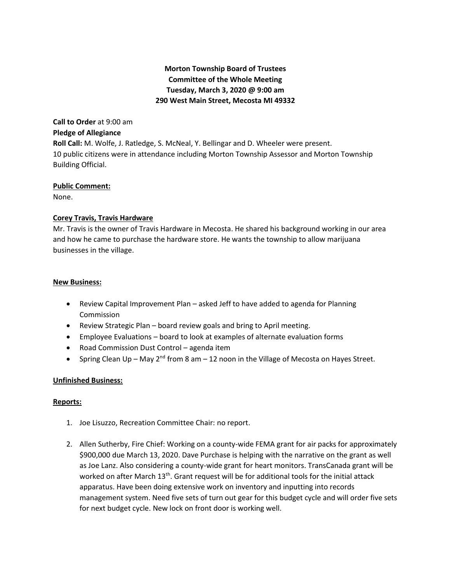# **Morton Township Board of Trustees Committee of the Whole Meeting Tuesday, March 3, 2020 @ 9:00 am 290 West Main Street, Mecosta MI 49332**

# **Call to Order** at 9:00 am **Pledge of Allegiance**

**Roll Call:** M. Wolfe, J. Ratledge, S. McNeal, Y. Bellingar and D. Wheeler were present. 10 public citizens were in attendance including Morton Township Assessor and Morton Township Building Official.

#### **Public Comment:**

None.

## **Corey Travis, Travis Hardware**

Mr. Travis is the owner of Travis Hardware in Mecosta. He shared his background working in our area and how he came to purchase the hardware store. He wants the township to allow marijuana businesses in the village.

## **New Business:**

- Review Capital Improvement Plan asked Jeff to have added to agenda for Planning Commission
- Review Strategic Plan board review goals and bring to April meeting.
- Employee Evaluations board to look at examples of alternate evaluation forms
- Road Commission Dust Control agenda item
- Spring Clean Up May 2<sup>nd</sup> from 8 am 12 noon in the Village of Mecosta on Hayes Street.

# **Unfinished Business:**

#### **Reports:**

- 1. Joe Lisuzzo, Recreation Committee Chair: no report.
- 2. Allen Sutherby, Fire Chief: Working on a county-wide FEMA grant for air packs for approximately \$900,000 due March 13, 2020. Dave Purchase is helping with the narrative on the grant as well as Joe Lanz. Also considering a county-wide grant for heart monitors. TransCanada grant will be worked on after March  $13<sup>th</sup>$ . Grant request will be for additional tools for the initial attack apparatus. Have been doing extensive work on inventory and inputting into records management system. Need five sets of turn out gear for this budget cycle and will order five sets for next budget cycle. New lock on front door is working well.